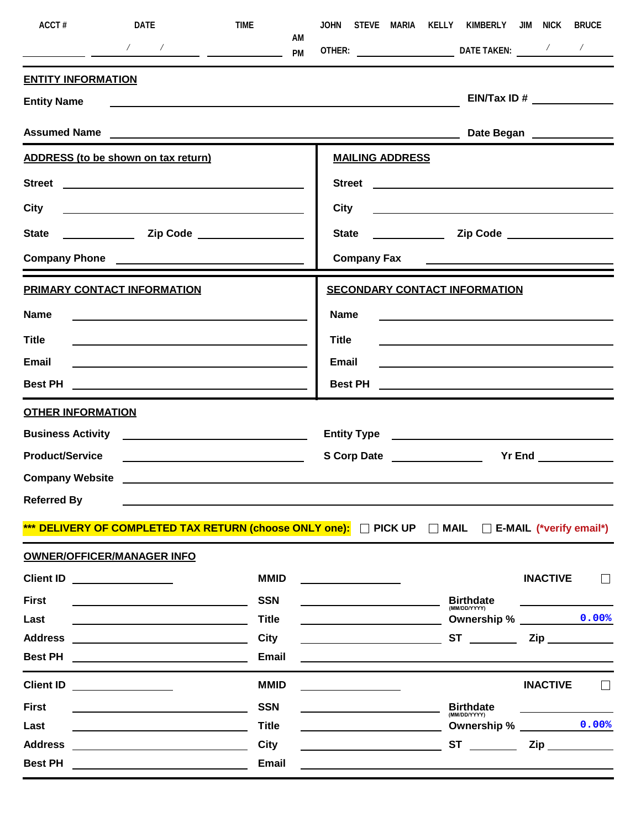| ACCT#                     | DATE                                                                                                                                                                                                                           | TIME                                                    |                             | JOHN STEVE MARIA KELLY KIMBERLY JIM NICK                                                                                                                                                                                            | <b>BRUCE</b>                                                                                                                                                                                                                         |
|---------------------------|--------------------------------------------------------------------------------------------------------------------------------------------------------------------------------------------------------------------------------|---------------------------------------------------------|-----------------------------|-------------------------------------------------------------------------------------------------------------------------------------------------------------------------------------------------------------------------------------|--------------------------------------------------------------------------------------------------------------------------------------------------------------------------------------------------------------------------------------|
|                           |                                                                                                                                                                                                                                | AM.                                                     |                             | OTHER: DATE TAKEN: / /                                                                                                                                                                                                              |                                                                                                                                                                                                                                      |
| <b>ENTITY INFORMATION</b> |                                                                                                                                                                                                                                |                                                         |                             |                                                                                                                                                                                                                                     |                                                                                                                                                                                                                                      |
| <b>Entity Name</b>        | <u> Alexandria (m. 1888)</u>                                                                                                                                                                                                   |                                                         |                             |                                                                                                                                                                                                                                     |                                                                                                                                                                                                                                      |
|                           | Assumed Name                                                                                                                                                                                                                   |                                                         |                             |                                                                                                                                                                                                                                     | Date Began _____________                                                                                                                                                                                                             |
|                           | <b>ADDRESS</b> (to be shown on tax return)                                                                                                                                                                                     |                                                         | <b>MAILING ADDRESS</b>      |                                                                                                                                                                                                                                     |                                                                                                                                                                                                                                      |
|                           |                                                                                                                                                                                                                                |                                                         |                             |                                                                                                                                                                                                                                     |                                                                                                                                                                                                                                      |
| City                      |                                                                                                                                                                                                                                |                                                         | <b>City</b>                 | <u> 1989 - Johann Barn, fransk politik fotograf (d. 1989)</u>                                                                                                                                                                       |                                                                                                                                                                                                                                      |
| <b>State</b>              |                                                                                                                                                                                                                                |                                                         |                             |                                                                                                                                                                                                                                     |                                                                                                                                                                                                                                      |
|                           | Company Phone                                                                                                                                                                                                                  |                                                         | <b>Company Fax</b>          | <u> Andrew Maria (1989)</u>                                                                                                                                                                                                         |                                                                                                                                                                                                                                      |
|                           | <b>PRIMARY CONTACT INFORMATION</b>                                                                                                                                                                                             |                                                         |                             | <b>SECONDARY CONTACT INFORMATION</b>                                                                                                                                                                                                |                                                                                                                                                                                                                                      |
| Name                      | <u> 1989 - Johann John Stein, fransk politik (d. 1989)</u>                                                                                                                                                                     |                                                         | <b>Name</b>                 | <u> 1980 - Andrea Andrew Maria (h. 1980).</u>                                                                                                                                                                                       |                                                                                                                                                                                                                                      |
| <b>Title</b>              |                                                                                                                                                                                                                                |                                                         | <b>Title</b>                |                                                                                                                                                                                                                                     |                                                                                                                                                                                                                                      |
| Email                     |                                                                                                                                                                                                                                |                                                         | Email                       |                                                                                                                                                                                                                                     |                                                                                                                                                                                                                                      |
|                           |                                                                                                                                                                                                                                |                                                         | <b>Best PH</b>              | <u> 1989 - John Harry Harry Harry Harry Harry Harry Harry Harry Harry Harry Harry Harry Harry Harry Harry Harry</u>                                                                                                                 |                                                                                                                                                                                                                                      |
| <b>OTHER INFORMATION</b>  |                                                                                                                                                                                                                                |                                                         |                             |                                                                                                                                                                                                                                     |                                                                                                                                                                                                                                      |
|                           | <b>Business Activity</b> <u>_______________________________</u>                                                                                                                                                                |                                                         |                             | Entity Type <u>experience</u> and the set of the set of the set of the set of the set of the set of the set of the set of the set of the set of the set of the set of the set of the set of the set of the set of the set of the se |                                                                                                                                                                                                                                      |
| <b>Product/Service</b>    |                                                                                                                                                                                                                                | <u> 1980 - Johann Barbara, martin amerikan basar da</u> | S Corp Date _______________ |                                                                                                                                                                                                                                     | Yr End <u>Saman Area Started Bank and the Started Bank and the Started Bank and the Started Bank and the Started Bank and the Started Bank and the Started Bank and the Started Bank and the Started Bank and the Started Bank a</u> |
|                           | Company Website <u>company</u> website                                                                                                                                                                                         |                                                         |                             |                                                                                                                                                                                                                                     |                                                                                                                                                                                                                                      |
| <b>Referred By</b>        |                                                                                                                                                                                                                                |                                                         |                             |                                                                                                                                                                                                                                     |                                                                                                                                                                                                                                      |
|                           | *** DELIVERY OF COMPLETED TAX RETURN (choose ONLY one): D PICK UP D MAIL D E-MAIL (*verify email*)                                                                                                                             |                                                         |                             |                                                                                                                                                                                                                                     |                                                                                                                                                                                                                                      |
|                           | <b>OWNER/OFFICER/MANAGER INFO</b>                                                                                                                                                                                              |                                                         |                             |                                                                                                                                                                                                                                     |                                                                                                                                                                                                                                      |
|                           | Client ID <u>______________</u>                                                                                                                                                                                                | <b>MMID</b>                                             |                             |                                                                                                                                                                                                                                     | <b>INACTIVE</b>                                                                                                                                                                                                                      |
| <b>First</b>              |                                                                                                                                                                                                                                | <b>SSN</b>                                              |                             | <b>Birthdate</b><br>(MM/DD/YYYY)                                                                                                                                                                                                    |                                                                                                                                                                                                                                      |
| Last                      |                                                                                                                                                                                                                                | <b>Title</b>                                            |                             |                                                                                                                                                                                                                                     | Ownership % _________ 0.00%                                                                                                                                                                                                          |
| <b>Address</b>            |                                                                                                                                                                                                                                | City                                                    |                             | $ST \underline{\hspace{1cm}}$                                                                                                                                                                                                       | $\mathsf{Zip} \hspace{0.1cm} \underline{\hspace{1.5cm}}$                                                                                                                                                                             |
| <b>Best PH</b>            | <u> 1980 - Jan Barnett, fransk politiker (d. 1980)</u>                                                                                                                                                                         | <b>Email</b>                                            |                             |                                                                                                                                                                                                                                     |                                                                                                                                                                                                                                      |
|                           | Client ID and the control of the control of the control of the control of the control of the control of the control of the control of the control of the control of the control of the control of the control of the control o | <b>MMID</b>                                             |                             |                                                                                                                                                                                                                                     | <b>INACTIVE</b>                                                                                                                                                                                                                      |
| <b>First</b>              |                                                                                                                                                                                                                                | <b>SSN</b>                                              |                             | <b>Birthdate</b><br>(MM/DD/YYYY)                                                                                                                                                                                                    |                                                                                                                                                                                                                                      |
| Last                      |                                                                                                                                                                                                                                | <b>Title</b>                                            |                             |                                                                                                                                                                                                                                     | Ownership % 0.00%                                                                                                                                                                                                                    |
| <b>Address</b>            |                                                                                                                                                                                                                                | City                                                    |                             | $ST \underline{\hspace{1cm}}$                                                                                                                                                                                                       | $\mathsf{Zip} \hspace{.5cm} \underline{\hspace{.5cm}}$                                                                                                                                                                               |
| <b>Best PH</b>            | <u> 1980 - Johann Barbara, martin a</u>                                                                                                                                                                                        | Email                                                   |                             |                                                                                                                                                                                                                                     |                                                                                                                                                                                                                                      |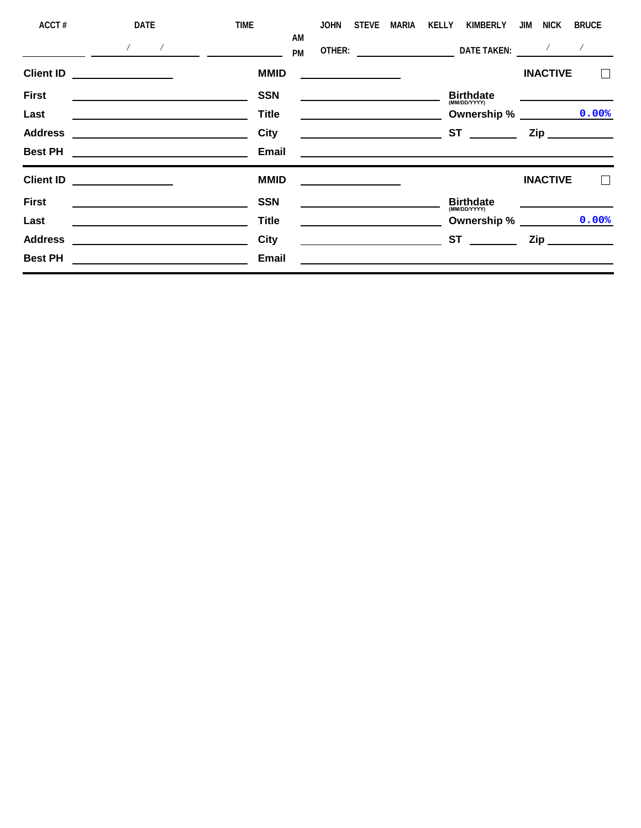| ACCT#            | DATE                                                                                                                  | <b>TIME</b><br>AM | <b>JOHN</b>                                                                                                          | <b>STEVE</b> | <b>MARIA</b>                                                                                                                                                                                                                         | KELLY | <b>KIMBERLY</b>                                                                                                          | JIM | <b>NICK</b>     | <b>BRUCE</b>                                             |  |
|------------------|-----------------------------------------------------------------------------------------------------------------------|-------------------|----------------------------------------------------------------------------------------------------------------------|--------------|--------------------------------------------------------------------------------------------------------------------------------------------------------------------------------------------------------------------------------------|-------|--------------------------------------------------------------------------------------------------------------------------|-----|-----------------|----------------------------------------------------------|--|
|                  | $\sqrt{2}$<br>$\sim$ $\sim$                                                                                           | <b>PM</b>         | OTHER:                                                                                                               |              | <u>and the company of the company of the company of the company of the company of the company of the company of the company of the company of the company of the company of the company of the company of the company of the com</u> |       | DATE TAKEN:                                                                                                              |     | Γ               |                                                          |  |
| <b>Client ID</b> |                                                                                                                       | <b>MMID</b>       | <u> 1989 - Andrea Andrew Maria III, populație de la provincia de la provincia de la provincia de la provincia de</u> |              |                                                                                                                                                                                                                                      |       |                                                                                                                          |     | <b>INACTIVE</b> |                                                          |  |
| <b>First</b>     | the contract of the contract of the contract of the contract of the contract of the contract of the contract of       | <b>SSN</b>        | <u> 1989 - Andrea Barbara, poeta esperanto-</u>                                                                      |              |                                                                                                                                                                                                                                      |       | <b>Birthdate</b><br>(MM/DD/YYYY)                                                                                         |     |                 |                                                          |  |
| Last             |                                                                                                                       | <b>Title</b>      | <u> 1989 - Johann Barn, mars eta bainar eta baina eta baina eta baina eta baina eta baina eta baina eta baina e</u>  |              |                                                                                                                                                                                                                                      |       | <b>Ownership %</b>                                                                                                       |     |                 | 0.00%                                                    |  |
| <b>Address</b>   | <u> 1989 - Johann Harry Harry Harry Harry Harry Harry Harry Harry Harry Harry Harry Harry Harry Harry Harry Harry</u> | City              |                                                                                                                      |              |                                                                                                                                                                                                                                      |       | <b>ST</b>                                                                                                                |     |                 | $\mathsf{Zip} \hspace{0.1cm} \underline{\hspace{1.5cm}}$ |  |
| <b>Best PH</b>   |                                                                                                                       | Email             |                                                                                                                      |              |                                                                                                                                                                                                                                      |       | <u>a sa barang sa mga barang sa mga barang sa mga barang sa mga barang sa mga barang sa mga barang sa mga barang sa </u> |     |                 |                                                          |  |
| <b>Client ID</b> |                                                                                                                       | <b>MMID</b>       |                                                                                                                      |              |                                                                                                                                                                                                                                      |       |                                                                                                                          |     | <b>INACTIVE</b> |                                                          |  |
| <b>First</b>     |                                                                                                                       | <b>SSN</b>        |                                                                                                                      |              |                                                                                                                                                                                                                                      |       | <b>Birthdate</b><br>(MM/DD/YYYY)                                                                                         |     |                 |                                                          |  |
| Last             |                                                                                                                       | <b>Title</b>      |                                                                                                                      |              |                                                                                                                                                                                                                                      |       | Ownership % __________                                                                                                   |     |                 | 0.00%                                                    |  |
| <b>Address</b>   |                                                                                                                       | City              |                                                                                                                      |              |                                                                                                                                                                                                                                      |       | <b>ST</b>                                                                                                                |     |                 | $\mathsf{Zip} \hspace{0.1cm} \underline{\hspace{1.5cm}}$ |  |
| <b>Best PH</b>   |                                                                                                                       | Email             |                                                                                                                      |              |                                                                                                                                                                                                                                      |       |                                                                                                                          |     |                 |                                                          |  |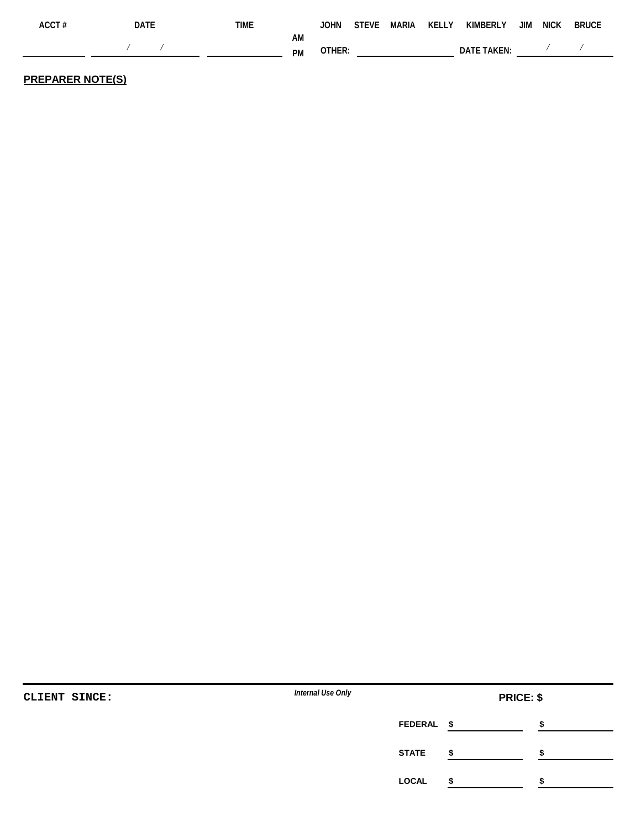| ACCT# | DATE       | TIME |    |           |  | JOHN STEVE MARIA KELLY KIMBERLY JIM NICK BRUCE                                                                                                                                                                                 |  |  |
|-------|------------|------|----|-----------|--|--------------------------------------------------------------------------------------------------------------------------------------------------------------------------------------------------------------------------------|--|--|
|       | $\sqrt{2}$ |      | АM | PM OTHER: |  | DATE TAKEN: Noted that the New York of the New York of the New York of the New York of the New York of the New York of the New York of the New York of the New York of the New York of the New York of the New York of the New |  |  |

## **PREPARER NOTE(S)**

| CLIENT SINCE: | Internal Use Only |              | <b>PRICE: \$</b> |  |
|---------------|-------------------|--------------|------------------|--|
|               |                   | FEDERAL \$   |                  |  |
|               |                   | <b>STATE</b> |                  |  |
|               |                   | <b>LOCAL</b> |                  |  |